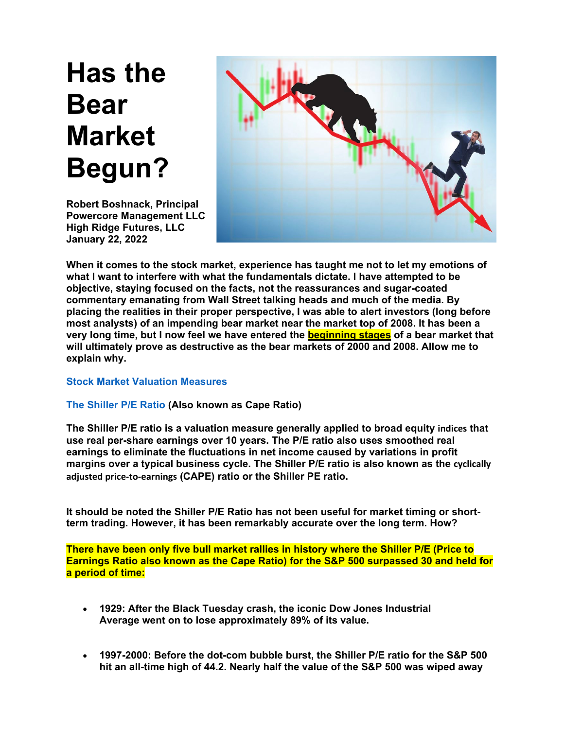# **Has the Bear Market Begun?**

**Robert Boshnack, Principal Powercore Management LLC High Ridge Futures, LLC January 22, 2022**



**When it comes to the stock market, experience has taught me not to let my emotions of what I want to interfere with what the fundamentals dictate. I have attempted to be objective, staying focused on the facts, not the reassurances and sugar-coated commentary emanating from Wall Street talking heads and much of the media. By placing the realities in their proper perspective, I was able to alert investors (long before most analysts) of an impending bear market near the market top of 2008. It has been a very long time, but I now feel we have entered the beginning stages of a bear market that will ultimately prove as destructive as the bear markets of 2000 and 2008. Allow me to explain why.**

# **Stock Market Valuation Measures**

# **The Shiller P/E Ratio (Also known as Cape Ratio)**

**The Shiller P/E ratio is a valuation measure generally applied to broad equity [indices](https://www.investopedia.com/terms/i/index.asp) that use real per-share earnings over 10 years. The P/E ratio also uses smoothed real earnings to eliminate the fluctuations in net income caused by variations in profit margins over a typical business cycle. The Shiller P/E ratio is also known as the [cyclically](https://www.investopedia.com/terms/c/cape-ratio.asp) adjusted [price-to-earnings](https://www.investopedia.com/terms/c/cape-ratio.asp) (CAPE) ratio or the Shiller PE ratio.**

**It should be noted the Shiller P/E Ratio has not been useful for market timing or shortterm trading. However, it has been remarkably accurate over the long term. How?**

**There have been only five bull market rallies in history where the Shiller P/E (Price to Earnings Ratio also known as the Cape Ratio) for the S&P 500 surpassed 30 and held for a period of time:**

- **1929: After the Black Tuesday crash, the iconic Dow Jones Industrial Average went on to lose approximately 89% of its value.**
- **1997-2000: Before the dot-com bubble burst, the Shiller P/E ratio for the S&P 500 hit an all-time high of 44.2. Nearly half the value of the S&P 500 was wiped away**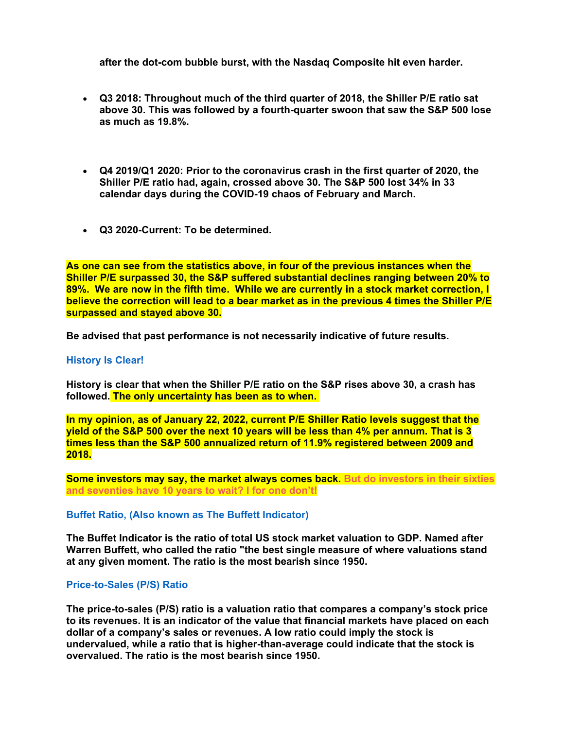**after the dot-com bubble burst, with the Nasdaq Composite hit even harder.** 

- **Q3 2018: Throughout much of the third quarter of 2018, the Shiller P/E ratio sat above 30. This was followed by a fourth-quarter swoon that saw the S&P 500 lose as much as 19.8%.**
- **Q4 2019/Q1 2020: Prior to the coronavirus crash in the first quarter of 2020, the Shiller P/E ratio had, again, crossed above 30. The S&P 500 lost 34% in 33 calendar days during the COVID-19 chaos of February and March.**
- **Q3 2020-Current: To be determined.**

**As one can see from the statistics above, in four of the previous instances when the Shiller P/E surpassed 30, the S&P suffered substantial declines ranging between 20% to 89%. We are now in the fifth time. While we are currently in a stock market correction, I believe the correction will lead to a bear market as in the previous 4 times the Shiller P/E surpassed and stayed above 30.**

**Be advised that past performance is not necessarily indicative of future results.**

## **History Is Clear!**

**History is clear that when the Shiller P/E ratio on the S&P rises above 30, a crash has followed. The only uncertainty has been as to when.**

**In my opinion, as of January 22, 2022, current P/E Shiller Ratio levels suggest that the** yield of the S&P 500 over the next 10 years will be less than 4% per annum. That is 3 **times less than the S&P 500 annualized return of 11.9% registered between 2009 and 2018.**

**Some investors may say, the market always comes back. But do investors in their sixties and seventies have 10 years to wait? I for one don't!**

#### **Buffet Ratio, (Also known as The Buffett Indicator)**

**The Buffet Indicator is the ratio of total US stock market valuation to GDP. Named after Warren Buffett, who called the ratio "the best single measure of where valuations stand at any given moment. The ratio is the most bearish since 1950.**

## **Price-to-Sales (P/S) Ratio**

**The price-to-sales (P/S) ratio is a valuation ratio that compares a company's stock price to its revenues. It is an indicator of the value that financial markets have placed on each dollar of a company's sales or revenues. A low ratio could imply the stock is undervalued, while a ratio that is higher-than-average could indicate that the stock is overvalued. The ratio is the most bearish since 1950.**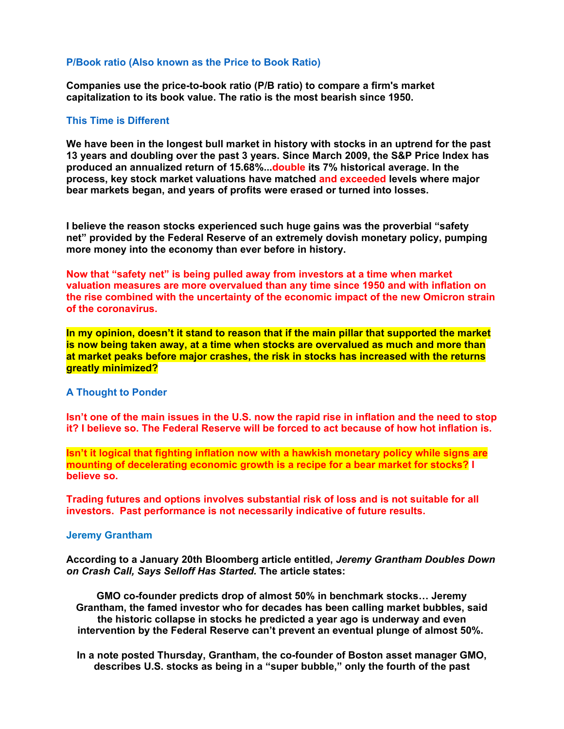## **P/Book ratio (Also known as the Price to Book Ratio)**

**Companies use the price-to-book ratio (P/B ratio) to compare a firm's market capitalization to its book value. The ratio is the most bearish since 1950.**

## **This Time is Different**

**We have been in the longest bull market in history with stocks in an uptrend for the past 13 years and doubling over the past 3 years. Since March 2009, the S&P Price Index has produced an annualized return of 15.68%...double its 7% historical average. In the process, key stock market valuations have matched and exceeded levels where major bear markets began, and years of profits were erased or turned into losses.** 

**I believe the reason stocks experienced such huge gains was the proverbial "safety net" provided by the Federal Reserve of an extremely dovish monetary policy, pumping more money into the economy than ever before in history.** 

**Now that "safety net" is being pulled away from investors at a time when market valuation measures are more overvalued than any time since 1950 and with inflation on the rise combined with the uncertainty of the economic impact of the new Omicron strain of the coronavirus.** 

**In my opinion, doesn't it stand to reason that if the main pillar that supported the market is now being taken away, at a time when stocks are overvalued as much and more than at market peaks before major crashes, the risk in stocks has increased with the returns greatly minimized?**

## **A Thought to Ponder**

Isn't one of the main issues in the U.S. now the rapid rise in inflation and the need to stop **it? I believe so. The Federal Reserve will be forced to act because of how hot inflation is.**

**Isn't it logical that fighting inflation now with a hawkish monetary policy while signs are mounting of decelerating economic growth is a recipe for a bear market for stocks? I believe so.**

**Trading futures and options involves substantial risk of loss and is not suitable for all investors. Past performance is not necessarily indicative of future results.**

#### **Jeremy Grantham**

**According to a January 20th Bloomberg article entitled,** *Jeremy Grantham Doubles Down on Crash Call, Says Selloff Has Started.* **The article states:** 

**GMO co-founder predicts drop of almost 50% in benchmark stocks… Jeremy Grantham, the famed investor who for decades has been calling market bubbles, said the historic collapse in stocks he predicted a year ago is underway and even intervention by the Federal Reserve can't prevent an eventual plunge of almost 50%.**

**In a note posted Thursday, Grantham, the co-founder of Boston asset manager GMO, describes U.S. stocks as being in a "super bubble," only the fourth of the past**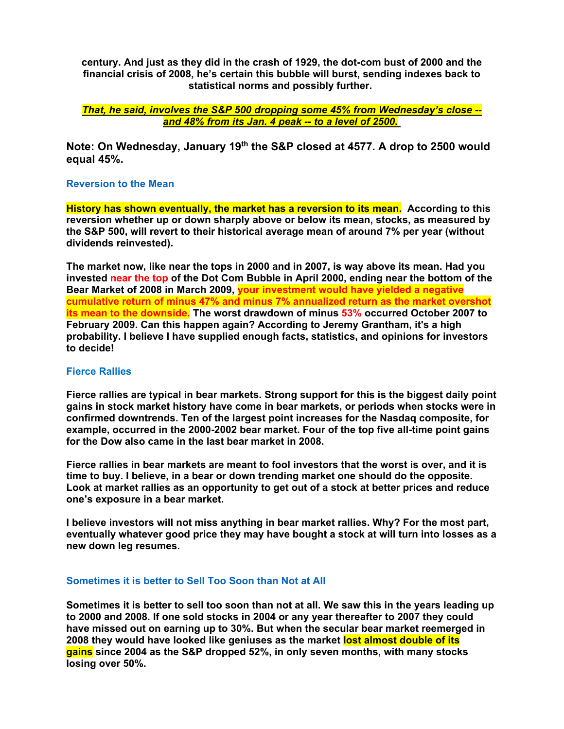**century. And just as they did in the crash of 1929, the dot-com bust of 2000 and the financial crisis of 2008, he's certain this bubble will burst, sending indexes back to statistical norms and possibly further.**

*That, he said, involves the S&P 500 dropping some 45% from Wednesday's close - and 48% from its Jan. 4 peak -- to a level of 2500***.**

**Note: On Wednesday, January 19th the S&P closed at 4577. A drop to 2500 would equal 45%.**

## **Reversion to the Mean**

**History has shown eventually, the market has a reversion to its mean. According to this reversion whether up or down sharply above or below its mean, stocks, as measured by the S&P 500, will revert to their historical average mean of around 7% per year (without dividends reinvested).**

**The market now, like near the tops in 2000 and in 2007, is way above its mean. Had you invested near the top of the Dot Com Bubble in April 2000, ending near the bottom of the Bear Market of 2008 in March 2009, your investment would have yielded a negative cumulative return of minus 47% and minus 7% annualized return as the market overshot its mean to the downside. The worst drawdown of minus 53% occurred October 2007 to February 2009. Can this happen again? According to Jeremy Grantham, it's a high probability. I believe I have supplied enough facts, statistics, and opinions for investors to decide!**

## **Fierce Rallies**

**Fierce rallies are typical in bear markets. Strong support for this is the biggest daily point gains in stock market history have come in bear markets, or periods when stocks were in confirmed downtrends. Ten of the largest point increases for the Nasdaq composite, for example, occurred in the 2000-2002 bear market. Four of the top five all-time point gains for the Dow also came in the last bear market in 2008.**

**Fierce rallies in bear markets are meant to fool investors that the worst is over, and it is time to buy. I believe, in a bear or down trending market one should do the opposite. Look at market rallies as an opportunity to get out of a stock at better prices and reduce one's exposure in a bear market.**

**I believe investors will not miss anything in bear market rallies. Why? For the most part, eventually whatever good price they may have bought a stock at will turn into losses as a new down leg resumes.**

#### **Sometimes it is better to Sell Too Soon than Not at All**

Sometimes it is better to sell too soon than not at all. We saw this in the years leading up **to 2000 and 2008. If one sold stocks in 2004 or any year thereafter to 2007 they could have missed out on earning up to 30%. But when the secular bear market reemerged in 2008 they would have looked like geniuses as the market lost almost double of its gains since 2004 as the S&P dropped 52%, in only seven months, with many stocks losing over 50%.**